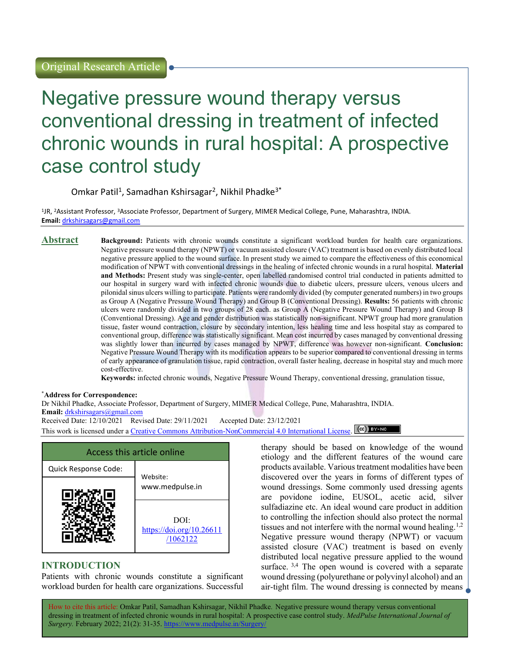# Negative pressure wound therapy versus conventional dressing in treatment of infected chronic wounds in rural hospital: A prospective case control study

Omkar Patil<sup>1</sup>, Samadhan Kshirsagar<sup>2</sup>, Nikhil Phadke<sup>3\*</sup>

<sup>1</sup>JR, <sup>2</sup>Assistant Professor, <sup>3</sup>Associate Professor, Department of Surgery, MIMER Medical College, Pune, Maharashtra, INDIA. Email: drkshirsagars@gmail.com

#### Abstract Background: Patients with chronic wounds constitute a significant workload burden for health care organizations. Negative pressure wound therapy (NPWT) or vacuum assisted closure (VAC) treatment is based on evenly distributed local negative pressure applied to the wound surface. In present study we aimed to compare the effectiveness of this economical modification of NPWT with conventional dressings in the healing of infected chronic wounds in a rural hospital. Material and Methods: Present study was single-center, open labelled randomised control trial conducted in patients admitted to our hospital in surgery ward with infected chronic wounds due to diabetic ulcers, pressure ulcers, venous ulcers and pilonidal sinus ulcers willing to participate. Patients were randomly divided (by computer generated numbers) in two groups as Group A (Negative Pressure Wound Therapy) and Group B (Conventional Dressing). Results: 56 patients with chronic ulcers were randomly divided in two groups of 28 each. as Group A (Negative Pressure Wound Therapy) and Group B (Conventional Dressing). Age and gender distribution was statistically non-significant. NPWT group had more granulation tissue, faster wound contraction, closure by secondary intention, less healing time and less hospital stay as compared to conventional group, difference was statistically significant. Mean cost incurred by cases managed by conventional dressing was slightly lower than incurred by cases managed by NPWT, difference was however non-significant. Conclusion: Negative Pressure Wound Therapy with its modification appears to be superior compared to conventional dressing in terms of early appearance of granulation tissue, rapid contraction, overall faster healing, decrease in hospital stay and much more cost-effective.

Keywords: infected chronic wounds, Negative Pressure Wound Therapy, conventional dressing, granulation tissue,

#### \*Address for Correspondence:

Dr Nikhil Phadke, Associate Professor, Department of Surgery, MIMER Medical College, Pune, Maharashtra, INDIA. Email: drkshirsagars@gmail.com Received Date: 12/10/2021 Revised Date: 29/11/2021 Accepted Date: 23/12/2021

This work is licensed under a Creative Commons Attribution-NonCommercial 4.0 International License. (cc) BY-NO

| Access this article online       |                                              |  |
|----------------------------------|----------------------------------------------|--|
| Quick Response Code:<br>Website: |                                              |  |
|                                  | www.medpulse.in                              |  |
|                                  | DOI:<br>https://doi.org/10.26611<br>/1062122 |  |

# INTRODUCTION

Patients with chronic wounds constitute a significant workload burden for health care organizations. Successful therapy should be based on knowledge of the wound etiology and the different features of the wound care products available. Various treatment modalities have been discovered over the years in forms of different types of wound dressings. Some commonly used dressing agents are povidone iodine, EUSOL, acetic acid, silver sulfadiazine etc. An ideal wound care product in addition to controlling the infection should also protect the normal tissues and not interfere with the normal wound healing.<sup>1,2</sup> Negative pressure wound therapy (NPWT) or vacuum assisted closure (VAC) treatment is based on evenly distributed local negative pressure applied to the wound surface.  $3,4$  The open wound is covered with a separate wound dressing (polyurethane or polyvinyl alcohol) and an air-tight film. The wound dressing is connected by means  $\perp$ 

How to cite this article: Omkar Patil, Samadhan Kshirsagar, Nikhil Phadke. Negative pressure wound therapy versus conventional dressing in treatment of infected chronic wounds in rural hospital: A prospective case control study. MedPulse International Journal of Surgery. February 2022; 21(2): 31-35. https://www.medpulse.in/Surgery/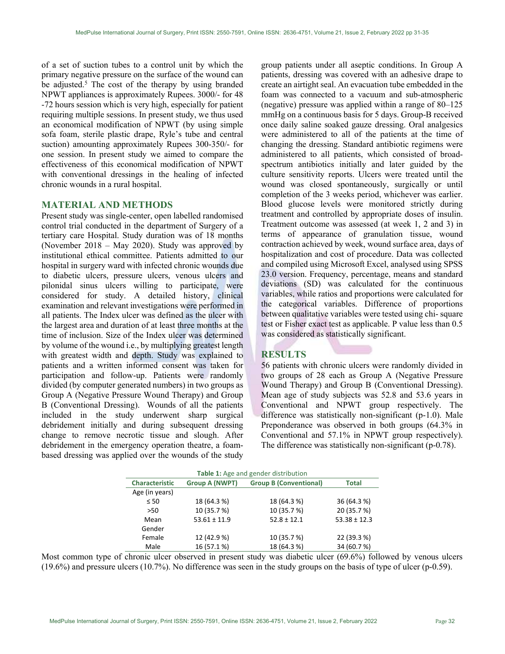of a set of suction tubes to a control unit by which the primary negative pressure on the surface of the wound can be adjusted.<sup>5</sup> The cost of the therapy by using branded NPWT appliances is approximately Rupees. 3000/- for 48 -72 hours session which is very high, especially for patient requiring multiple sessions. In present study, we thus used an economical modification of NPWT (by using simple sofa foam, sterile plastic drape, Ryle's tube and central suction) amounting approximately Rupees 300-350/- for one session. In present study we aimed to compare the effectiveness of this economical modification of NPWT with conventional dressings in the healing of infected chronic wounds in a rural hospital.

### MATERIAL AND METHODS

Present study was single-center, open labelled randomised control trial conducted in the department of Surgery of a tertiary care Hospital. Study duration was of 18 months (November 2018 – May 2020). Study was approved by institutional ethical committee. Patients admitted to our hospital in surgery ward with infected chronic wounds due to diabetic ulcers, pressure ulcers, venous ulcers and pilonidal sinus ulcers willing to participate, were considered for study. A detailed history, clinical examination and relevant investigations were performed in all patients. The Index ulcer was defined as the ulcer with the largest area and duration of at least three months at the time of inclusion. Size of the Index ulcer was determined by volume of the wound i.e., by multiplying greatest length with greatest width and depth. Study was explained to patients and a written informed consent was taken for participation and follow-up. Patients were randomly divided (by computer generated numbers) in two groups as Group A (Negative Pressure Wound Therapy) and Group B (Conventional Dressing). Wounds of all the patients included in the study underwent sharp surgical debridement initially and during subsequent dressing change to remove necrotic tissue and slough. After debridement in the emergency operation theatre, a foambased dressing was applied over the wounds of the study

group patients under all aseptic conditions. In Group A patients, dressing was covered with an adhesive drape to create an airtight seal. An evacuation tube embedded in the foam was connected to a vacuum and sub-atmospheric (negative) pressure was applied within a range of 80–125 mmHg on a continuous basis for 5 days. Group-B received once daily saline soaked gauze dressing. Oral analgesics were administered to all of the patients at the time of changing the dressing. Standard antibiotic regimens were administered to all patients, which consisted of broadspectrum antibiotics initially and later guided by the culture sensitivity reports. Ulcers were treated until the wound was closed spontaneously, surgically or until completion of the 3 weeks period, whichever was earlier. Blood glucose levels were monitored strictly during treatment and controlled by appropriate doses of insulin. Treatment outcome was assessed (at week 1, 2 and 3) in terms of appearance of granulation tissue, wound contraction achieved by week, wound surface area, days of hospitalization and cost of procedure. Data was collected and compiled using Microsoft Excel, analysed using SPSS 23.0 version. Frequency, percentage, means and standard deviations (SD) was calculated for the continuous variables, while ratios and proportions were calculated for the categorical variables. Difference of proportions between qualitative variables were tested using chi- square test or Fisher exact test as applicable. P value less than 0.5 was considered as statistically significant.

# RESULTS

56 patients with chronic ulcers were randomly divided in two groups of 28 each as Group A (Negative Pressure Wound Therapy) and Group B (Conventional Dressing). Mean age of study subjects was 52.8 and 53.6 years in Conventional and NPWT group respectively. The difference was statistically non-significant (p-1.0). Male Preponderance was observed in both groups (64.3% in Conventional and 57.1% in NPWT group respectively). The difference was statistically non-significant (p-0.78).

| Table 1: Age and gender distribution |                       |                               |                  |  |
|--------------------------------------|-----------------------|-------------------------------|------------------|--|
| <b>Characteristic</b>                | <b>Group A (NWPT)</b> | <b>Group B (Conventional)</b> | <b>Total</b>     |  |
| Age (in years)                       |                       |                               |                  |  |
| $\leq 50$                            | 18 (64.3 %)           | 18 (64.3 %)                   | 36 (64.3 %)      |  |
| >50                                  | 10 (35.7 %)           | 10 (35.7 %)                   | 20 (35.7 %)      |  |
| Mean                                 | $53.61 \pm 11.9$      | $52.8 \pm 12.1$               | $53.38 \pm 12.3$ |  |
| Gender                               |                       |                               |                  |  |
| Female                               | 12 (42.9 %)           | 10 (35.7 %)                   | 22 (39.3 %)      |  |
| Male                                 | 16 (57.1%)            | 18 (64.3 %)                   | 34 (60.7%)       |  |

Most common type of chronic ulcer observed in present study was diabetic ulcer (69.6%) followed by venous ulcers (19.6%) and pressure ulcers (10.7%). No difference was seen in the study groups on the basis of type of ulcer (p-0.59).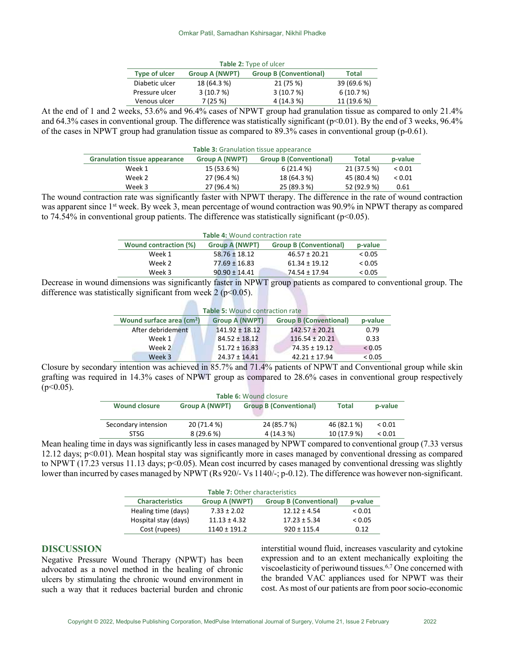| <b>Table 2: Type of ulcer</b> |              |            |             |  |
|-------------------------------|--------------|------------|-------------|--|
| <b>Type of ulcer</b>          | <b>Total</b> |            |             |  |
| Diabetic ulcer                | 18 (64.3 %)  | 21 (75 %)  | 39 (69.6 %) |  |
| Pressure ulcer                | 3(10.7%)     | 3(10.7%)   | 6(10.7%)    |  |
| Venous ulcer                  | 7(25%)       | 4 (14.3 %) | 11 (19.6 %) |  |

At the end of 1 and 2 weeks, 53.6% and 96.4% cases of NPWT group had granulation tissue as compared to only 21.4% and 64.3% cases in conventional group. The difference was statistically significant ( $p<0.01$ ). By the end of 3 weeks, 96.4% of the cases in NPWT group had granulation tissue as compared to 89.3% cases in conventional group (p-0.61).

| <b>Table 3:</b> Granulation tissue appearance |                |                               |             |               |
|-----------------------------------------------|----------------|-------------------------------|-------------|---------------|
| <b>Granulation tissue appearance</b>          | Group A (NWPT) | <b>Group B (Conventional)</b> | Total       | p-value       |
| Week 1                                        | 15 (53.6 %)    | 6(21.4%)                      | 21 (37.5 %) | ${}_{< 0.01}$ |
| Week 2                                        | 27 (96.4 %)    | 18 (64.3 %)                   | 45 (80.4 %) | ${}_{< 0.01}$ |
| Week 3                                        | 27 (96.4 %)    | 25 (89.3 %)                   | 52 (92.9 %) | 0.61          |

The wound contraction rate was significantly faster with NPWT therapy. The difference in the rate of wound contraction was apparent since 1<sup>st</sup> week. By week 3, mean percentage of wound contraction was 90.9% in NPWT therapy as compared to 74.54% in conventional group patients. The difference was statistically significant ( $p<0.05$ ).

| Table 4: Wound contraction rate |                       |                               |         |
|---------------------------------|-----------------------|-------------------------------|---------|
| Wound contraction (%)           | <b>Group A (NWPT)</b> | <b>Group B (Conventional)</b> | p-value |
| Week 1                          | $58.76 \pm 18.12$     | $46.57 \pm 20.21$             | < 0.05  |
| Week 2                          | $77.69 \pm 16.83$     | $61.34 \pm 19.12$             | < 0.05  |
| Week 3                          | $90.90 \pm 14.41$     | 74.54 ± 17.94                 | < 0.05  |

Decrease in wound dimensions was significantly faster in NPWT group patients as compared to conventional group. The difference was statistically significant from week  $2 (p<0.05)$ .

**Allia** 

| <b>Table 5: Wound contraction rate</b> |                       |                               |         |  |  |
|----------------------------------------|-----------------------|-------------------------------|---------|--|--|
| Wound surface area (cm <sup>2</sup> )  | <b>Group A (NWPT)</b> | <b>Group B (Conventional)</b> | p-value |  |  |
| After debridement                      | $141.92 \pm 18.12$    | $142.57 \pm 20.21$            | 0.79    |  |  |
| Week 1                                 | $84.52 \pm 18.12$     | $116.54 \pm 20.21$            | 0.33    |  |  |
| Week 2                                 | $51.72 \pm 16.83$     | $74.35 \pm 19.12$             | < 0.05  |  |  |
| Week 3                                 | $24.37 \pm 14.41$     | $42.21 \pm 17.94$             | < 0.05  |  |  |

Closure by secondary intention was achieved in 85.7% and 71.4% patients of NPWT and Conventional group while skin grafting was required in 14.3% cases of NPWT group as compared to 28.6% cases in conventional group respectively  $(p<0.05)$ .

| Table 6: Wound closure |                       |                               |              |               |
|------------------------|-----------------------|-------------------------------|--------------|---------------|
| <b>Wound closure</b>   | <b>Group A (NWPT)</b> | <b>Group B (Conventional)</b> | <b>Total</b> | p-value       |
|                        |                       |                               |              |               |
| Secondary intension    | 20 (71.4 %)           | 24 (85.7 %)                   | 46 (82.1 %)  | ${}_{< 0.01}$ |
| <b>STSG</b>            | 8(29.6%)              | 4 (14.3 %)                    | 10 (17.9 %)  | ${}_{< 0.01}$ |
| $\sim$                 | .                     | ----------                    |              |               |

Mean healing time in days was significantly less in cases managed by NPWT compared to conventional group (7.33 versus 12.12 days; p<0.01). Mean hospital stay was significantly more in cases managed by conventional dressing as compared to NPWT (17.23 versus 11.13 days; p<0.05). Mean cost incurred by cases managed by conventional dressing was slightly lower than incurred by cases managed by NPWT (Rs 920/- Vs 1140/-; p-0.12). The difference was however non-significant.

| <b>Table 7: Other characteristics</b> |                  |                  |             |  |
|---------------------------------------|------------------|------------------|-------------|--|
| <b>Characteristics</b>                | p-value          |                  |             |  |
| Healing time (days)                   | $7.33 \pm 2.02$  | $12.12 \pm 4.54$ | ${}_{0.01}$ |  |
| Hospital stay (days)                  | $11.13 \pm 4.32$ | $17.23 \pm 5.34$ | < 0.05      |  |
| Cost (rupees)                         | $1140 + 191.2$   | $920 \pm 115.4$  | 0.12        |  |

# DISCUSSION

Negative Pressure Wound Therapy (NPWT) has been advocated as a novel method in the healing of chronic ulcers by stimulating the chronic wound environment in such a way that it reduces bacterial burden and chronic interstitial wound fluid, increases vascularity and cytokine expression and to an extent mechanically exploiting the viscoelasticity of periwound tissues.6,7 One concerned with the branded VAC appliances used for NPWT was their cost. As most of our patients are from poor socio-economic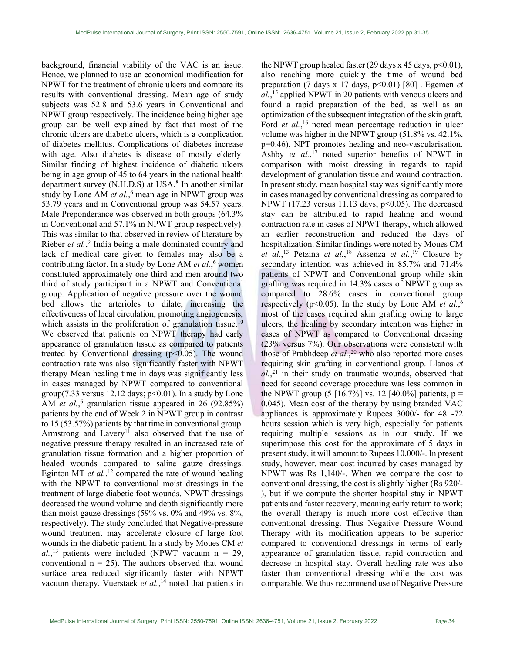background, financial viability of the VAC is an issue. Hence, we planned to use an economical modification for NPWT for the treatment of chronic ulcers and compare its results with conventional dressing. Mean age of study subjects was 52.8 and 53.6 years in Conventional and NPWT group respectively. The incidence being higher age group can be well explained by fact that most of the chronic ulcers are diabetic ulcers, which is a complication of diabetes mellitus. Complications of diabetes increase with age. Also diabetes is disease of mostly elderly. Similar finding of highest incidence of diabetic ulcers being in age group of 45 to 64 years in the national health department survey (N.H.D.S) at USA.<sup>8</sup> In another similar study by Lone AM et al.,<sup>6</sup> mean age in NPWT group was 53.79 years and in Conventional group was 54.57 years. Male Preponderance was observed in both groups (64.3% in Conventional and 57.1% in NPWT group respectively). This was similar to that observed in review of literature by Rieber et al.,<sup>9</sup> India being a male dominated country and lack of medical care given to females may also be a contributing factor. In a study by Lone AM et al.,<sup>6</sup> women constituted approximately one third and men around two third of study participant in a NPWT and Conventional group. Application of negative pressure over the wound bed allows the arterioles to dilate, increasing the effectiveness of local circulation, promoting angiogenesis, which assists in the proliferation of granulation tissue.<sup>10</sup> We observed that patients on NPWT therapy had early appearance of granulation tissue as compared to patients treated by Conventional dressing  $(p<0.05)$ . The wound contraction rate was also significantly faster with NPWT therapy Mean healing time in days was significantly less in cases managed by NPWT compared to conventional group(7.33 versus 12.12 days;  $p<0.01$ ). In a study by Lone AM *et al.*,<sup>6</sup> granulation tissue appeared in 26 (92.85%) patients by the end of Week 2 in NPWT group in contrast to 15 (53.57%) patients by that time in conventional group. Armstrong and Lavery<sup>11</sup> also observed that the use of negative pressure therapy resulted in an increased rate of granulation tissue formation and a higher proportion of healed wounds compared to saline gauze dressings. Eginton MT *et al.*,<sup>12</sup> compared the rate of wound healing with the NPWT to conventional moist dressings in the treatment of large diabetic foot wounds. NPWT dressings decreased the wound volume and depth significantly more than moist gauze dressings (59% vs. 0% and 49% vs. 8%, respectively). The study concluded that Negative-pressure wound treatment may accelerate closure of large foot wounds in the diabetic patient. In a study by Moues CM et  $al.$ <sup>13</sup> patients were included (NPWT vacuum n = 29, conventional  $n = 25$ ). The authors observed that wound surface area reduced significantly faster with NPWT vacuum therapy. Vuerstaek et al.,<sup>14</sup> noted that patients in the NPWT group healed faster (29 days x 45 days,  $p<0.01$ ), also reaching more quickly the time of wound bed preparation (7 days x 17 days,  $p<0.01$ ) [80]. Egemen *et* al.,<sup>15</sup> applied NPWT in 20 patients with venous ulcers and found a rapid preparation of the bed, as well as an optimization of the subsequent integration of the skin graft. Ford et al.,<sup>16</sup> noted mean percentage reduction in ulcer volume was higher in the NPWT group (51.8% vs. 42.1%, p=0.46), NPT promotes healing and neo-vascularisation. Ashby et  $al$ ,<sup>17</sup> noted superior benefits of NPWT in comparison with moist dressing in regards to rapid development of granulation tissue and wound contraction. In present study, mean hospital stay was significantly more in cases managed by conventional dressing as compared to NPWT (17.23 versus 11.13 days;  $p<0.05$ ). The decreased stay can be attributed to rapid healing and wound contraction rate in cases of NPWT therapy, which allowed an earlier reconstruction and reduced the days of hospitalization. Similar findings were noted by Moues CM et al.,<sup>13</sup> Petzina et al.,<sup>18</sup> Assenza et al.,<sup>19</sup> Closure by secondary intention was achieved in 85.7% and 71.4% patients of NPWT and Conventional group while skin grafting was required in 14.3% cases of NPWT group as compared to 28.6% cases in conventional group respectively ( $p<0.05$ ). In the study by Lone AM *et al.*,<sup>6</sup> most of the cases required skin grafting owing to large ulcers, the healing by secondary intention was higher in cases of NPWT as compared to Conventional dressing (23% versus 7%). Our observations were consistent with those of Prabhdeep *et al.*,<sup>20</sup> who also reported more cases requiring skin grafting in conventional group. Llanos et  $al$ ,<sup>21</sup> in their study on traumatic wounds, observed that need for second coverage procedure was less common in the NPWT group (5 [16.7%] vs. 12 [40.0%] patients,  $p =$ 0.045). Mean cost of the therapy by using branded VAC appliances is approximately Rupees 3000/- for 48 -72 hours session which is very high, especially for patients requiring multiple sessions as in our study. If we superimpose this cost for the approximate of 5 days in present study, it will amount to Rupees 10,000/-. In present study, however, mean cost incurred by cases managed by NPWT was Rs 1,140/-. When we compare the cost to conventional dressing, the cost is slightly higher (Rs 920/- ), but if we compute the shorter hospital stay in NPWT patients and faster recovery, meaning early return to work; the overall therapy is much more cost effective than conventional dressing. Thus Negative Pressure Wound Therapy with its modification appears to be superior compared to conventional dressings in terms of early appearance of granulation tissue, rapid contraction and decrease in hospital stay. Overall healing rate was also faster than conventional dressing while the cost was comparable. We thus recommend use of Negative Pressure